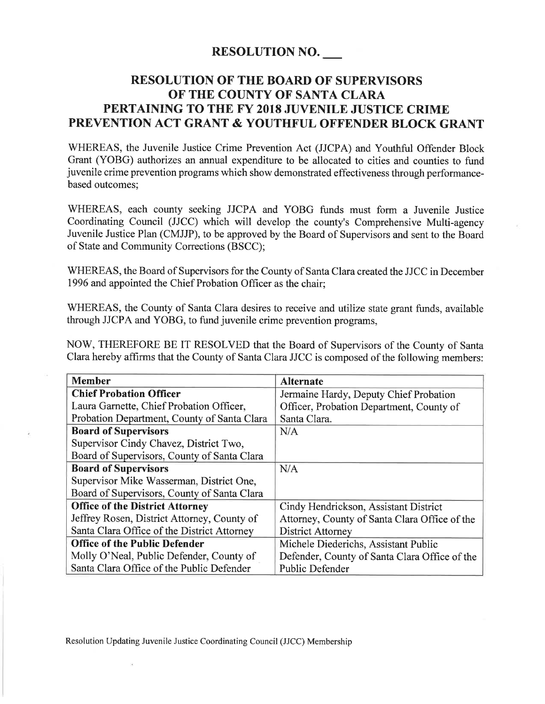## RESOLUTION NO.

## RESOLUTION OF THE BOARD OF SUPERVISORS OF THE COUNTY OF SANTA CLARA PERTAINING TO THE FY 2018 JUVENILE JUSTICE CRIME PREVENTION ACT GRANT & YOUTHFUL OFFENDER BLOCK GRANT

WHEREAS, the Juvenile Justice Crime Prevention Act (JJCPA) and Youthful Offender Block Grant (YOBG) authorizes an annual expenditure to be allocated to cities and counties to fund juvenile crime prevention programs which show demonstrated effectiveness through performancebased outcomes;

WHEREAS, each county seeking JJCPA and YOBG funds must form a Juvenile Justice Coordinating Council (JJCC) which will develop the county's Comprehensive Multi-agency Juvenile Justice Plan (CMJJP), to be approved by the Board of Supervisors and sent to the Board of State and Community Corrections (BSCC);

WHEREAS, the Board of Supervisors for the County of Santa Clara created the JJCC in December 1996 and appointed the Chief Probation Officer as the chair;

WHEREAS, the County of Santa Clara desires to receive and utilize state grant funds, available through JJCPA and YOBG, to fund juvenile crime prevention programs,

NOW, THEREFORE BE IT RESOLVED that the Board of Supervisors of the County of Santa Clara hereby affirms that the County of Santa Clara JJCC is composed of the following members:

| <b>Member</b>                               | <b>Alternate</b>                              |
|---------------------------------------------|-----------------------------------------------|
| <b>Chief Probation Officer</b>              | Jermaine Hardy, Deputy Chief Probation        |
| Laura Garnette, Chief Probation Officer,    | Officer, Probation Department, County of      |
| Probation Department, County of Santa Clara | Santa Clara.                                  |
| <b>Board of Supervisors</b>                 | N/A                                           |
| Supervisor Cindy Chavez, District Two,      |                                               |
| Board of Supervisors, County of Santa Clara |                                               |
| <b>Board of Supervisors</b>                 | N/A                                           |
| Supervisor Mike Wasserman, District One,    |                                               |
| Board of Supervisors, County of Santa Clara |                                               |
| <b>Office of the District Attorney</b>      | Cindy Hendrickson, Assistant District         |
| Jeffrey Rosen, District Attorney, County of | Attorney, County of Santa Clara Office of the |
| Santa Clara Office of the District Attorney | <b>District Attorney</b>                      |
| <b>Office of the Public Defender</b>        | Michele Diederichs, Assistant Public          |
| Molly O'Neal, Public Defender, County of    | Defender, County of Santa Clara Office of the |
| Santa Clara Office of the Public Defender   | <b>Public Defender</b>                        |

Resolution Updating Juvenile Justice Coordinating Council (JJCC) Membership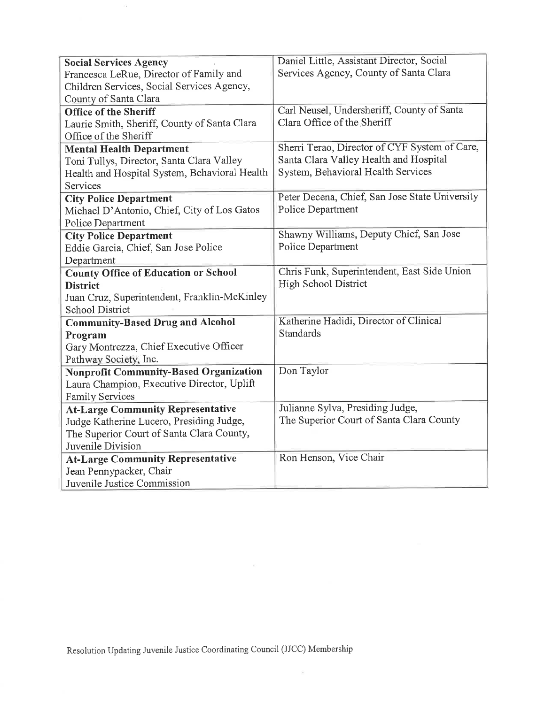| <b>Social Services Agency</b>                 | Daniel Little, Assistant Director, Social      |
|-----------------------------------------------|------------------------------------------------|
| Francesca LeRue, Director of Family and       | Services Agency, County of Santa Clara         |
| Children Services, Social Services Agency,    |                                                |
| County of Santa Clara                         |                                                |
| <b>Office of the Sheriff</b>                  | Carl Neusel, Undersheriff, County of Santa     |
| Laurie Smith, Sheriff, County of Santa Clara  | Clara Office of the Sheriff                    |
| Office of the Sheriff                         |                                                |
| <b>Mental Health Department</b>               | Sherri Terao, Director of CYF System of Care,  |
| Toni Tullys, Director, Santa Clara Valley     | Santa Clara Valley Health and Hospital         |
| Health and Hospital System, Behavioral Health | System, Behavioral Health Services             |
| Services                                      |                                                |
| <b>City Police Department</b>                 | Peter Decena, Chief, San Jose State University |
| Michael D'Antonio, Chief, City of Los Gatos   | Police Department                              |
| Police Department                             |                                                |
| <b>City Police Department</b>                 | Shawny Williams, Deputy Chief, San Jose        |
| Eddie Garcia, Chief, San Jose Police          | Police Department                              |
| Department                                    |                                                |
| <b>County Office of Education or School</b>   | Chris Funk, Superintendent, East Side Union    |
| <b>District</b>                               | High School District                           |
| Juan Cruz, Superintendent, Franklin-McKinley  |                                                |
| School District                               |                                                |
| <b>Community-Based Drug and Alcohol</b>       | Katherine Hadidi, Director of Clinical         |
| Program                                       | Standards                                      |
| Gary Montrezza, Chief Executive Officer       |                                                |
| Pathway Society, Inc.                         |                                                |
| <b>Nonprofit Community-Based Organization</b> | Don Taylor                                     |
| Laura Champion, Executive Director, Uplift    |                                                |
| <b>Family Services</b>                        |                                                |
| <b>At-Large Community Representative</b>      | Julianne Sylva, Presiding Judge,               |
| Judge Katherine Lucero, Presiding Judge,      | The Superior Court of Santa Clara County       |
| The Superior Court of Santa Clara County,     |                                                |
| Juvenile Division                             |                                                |
| <b>At-Large Community Representative</b>      | Ron Henson, Vice Chair                         |
| Jean Pennypacker, Chair                       |                                                |
| Juvenile Justice Commission                   |                                                |

Resolution Updating Juvenile Justice Coordinating Council (JJCC) Membership

 $\widetilde{\lambda}$